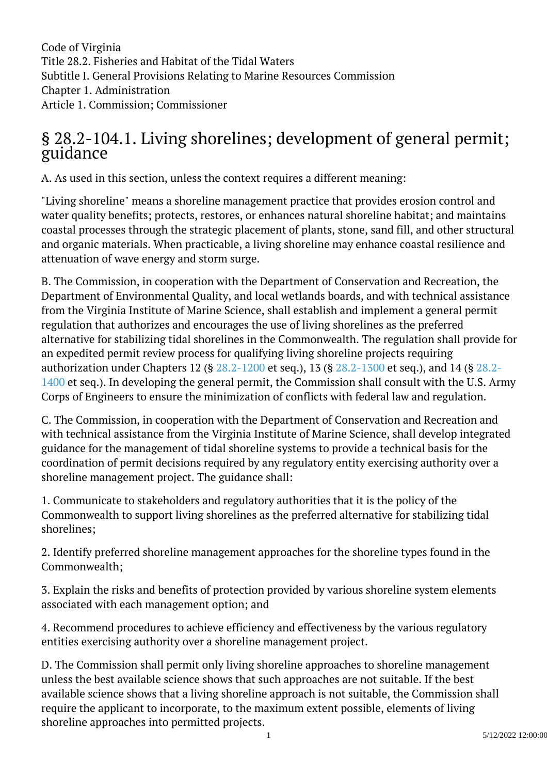Code of Virginia Title 28.2. Fisheries and Habitat of the Tidal Waters Subtitle I. General Provisions Relating to Marine Resources Commission Chapter 1. Administration Article 1. Commission; Commissioner

## § 28.2-104.1. Living shorelines; development of general permit; guidance ĺ

A. As used in this section, unless the context requires a different meaning:

"Living shoreline" means a shoreline management practice that provides erosion control and water quality benefits; protects, restores, or enhances natural shoreline habitat; and maintains coastal processes through the strategic placement of plants, stone, sand fill, and other structural and organic materials. When practicable, a living shoreline may enhance coastal resilience and attenuation of wave energy and storm surge.

B. The Commission, in cooperation with the Department of Conservation and Recreation, the Department of Environmental Quality, and local wetlands boards, and with technical assistance from the Virginia Institute of Marine Science, shall establish and implement a general permit regulation that authorizes and encourages the use of living shorelines as the preferred alternative for stabilizing tidal shorelines in the Commonwealth. The regulation shall provide for an expedited permit review process for qualifying living shoreline projects requiring authorization under Chapters 12 (§ [28.2-1200](/vacode/28.2-1200/) et seq.), 13 (§ [28.2-1300](/vacode/28.2-1300/) et seq.), and 14 (§ [28.2-](/vacode/28.2-1400/) [1400](/vacode/28.2-1400/) et seq.). In developing the general permit, the Commission shall consult with the U.S. Army Corps of Engineers to ensure the minimization of conflicts with federal law and regulation.

C. The Commission, in cooperation with the Department of Conservation and Recreation and with technical assistance from the Virginia Institute of Marine Science, shall develop integrated guidance for the management of tidal shoreline systems to provide a technical basis for the coordination of permit decisions required by any regulatory entity exercising authority over a shoreline management project. The guidance shall:

1. Communicate to stakeholders and regulatory authorities that it is the policy of the Commonwealth to support living shorelines as the preferred alternative for stabilizing tidal shorelines;

2. Identify preferred shoreline management approaches for the shoreline types found in the Commonwealth;

3. Explain the risks and benefits of protection provided by various shoreline system elements associated with each management option; and

4. Recommend procedures to achieve efficiency and effectiveness by the various regulatory entities exercising authority over a shoreline management project.

D. The Commission shall permit only living shoreline approaches to shoreline management unless the best available science shows that such approaches are not suitable. If the best available science shows that a living shoreline approach is not suitable, the Commission shall require the applicant to incorporate, to the maximum extent possible, elements of living shoreline approaches into permitted projects.